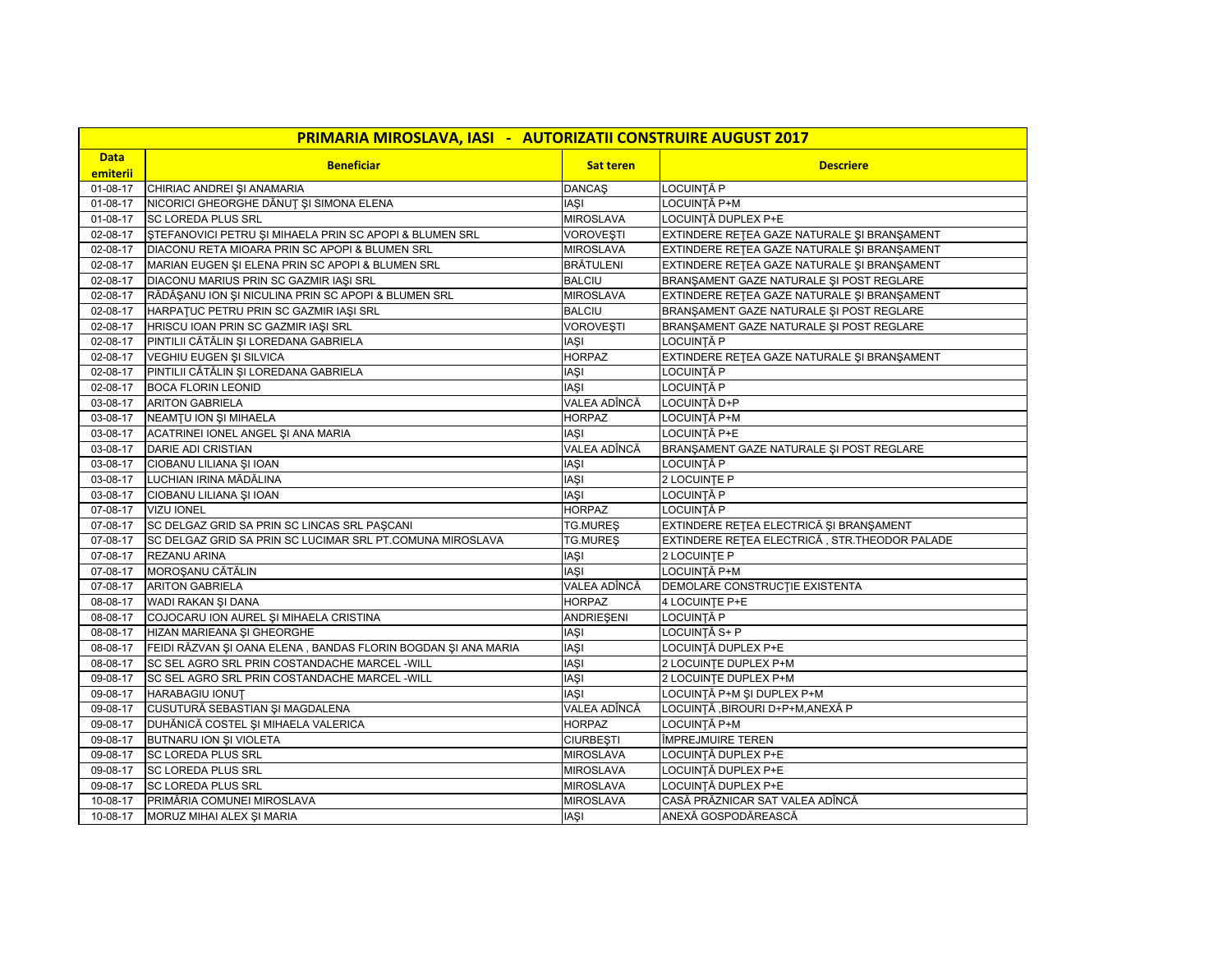| PRIMARIA MIROSLAVA, IASI - AUTORIZATII CONSTRUIRE AUGUST 2017 |                                                               |                   |                                               |  |  |  |
|---------------------------------------------------------------|---------------------------------------------------------------|-------------------|-----------------------------------------------|--|--|--|
| <b>Data</b>                                                   | <b>Beneficiar</b>                                             | <b>Sat teren</b>  |                                               |  |  |  |
| emiterii                                                      |                                                               |                   | <b>Descriere</b>                              |  |  |  |
| 01-08-17                                                      | CHIRIAC ANDREI ȘI ANAMARIA                                    | <b>DANCAS</b>     | LOCUINTĂ P                                    |  |  |  |
| 01-08-17                                                      | NICORICI GHEORGHE DĂNUȚ ȘI SIMONA ELENA                       | IAȘI              | LOCUINȚĂ P+M                                  |  |  |  |
| 01-08-17                                                      | <b>SC LOREDA PLUS SRL</b>                                     | <b>MIROSLAVA</b>  | LOCUINTĂ DUPLEX P+E                           |  |  |  |
| 02-08-17                                                      | ȘTEFANOVICI PETRU ȘI MIHAELA PRIN SC APOPI & BLUMEN SRL       | <b>VOROVESTI</b>  | EXTINDERE RETEA GAZE NATURALE ȘI BRANȘAMENT   |  |  |  |
| 02-08-17                                                      | DIACONU RETA MIOARA PRIN SC APOPI & BLUMEN SRL                | <b>MIROSLAVA</b>  | EXTINDERE RETEA GAZE NATURALE ȘI BRANȘAMENT   |  |  |  |
| 02-08-17                                                      | MARIAN EUGEN ȘI ELENA PRIN SC APOPI & BLUMEN SRL              | <b>BRÄTULENI</b>  | EXTINDERE RETEA GAZE NATURALE ȘI BRANȘAMENT   |  |  |  |
| 02-08-17                                                      | DIACONU MARIUS PRIN SC GAZMIR IAȘI SRL                        | <b>BALCIU</b>     | BRANŞAMENT GAZE NATURALE ŞI POST REGLARE      |  |  |  |
| 02-08-17                                                      | RĂDĂȘANU ION ȘI NICULINA PRIN SC APOPI & BLUMEN SRL           | <b>MIROSLAVA</b>  | EXTINDERE REȚEA GAZE NATURALE ȘI BRANȘAMENT   |  |  |  |
| 02-08-17                                                      | HARPATUC PETRU PRIN SC GAZMIR IAȘI SRL                        | <b>BALCIU</b>     | BRANŞAMENT GAZE NATURALE ŞI POST REGLARE      |  |  |  |
| 02-08-17                                                      | HRISCU IOAN PRIN SC GAZMIR IASI SRL                           | VOROVEŞTI         | BRANŞAMENT GAZE NATURALE ŞI POST REGLARE      |  |  |  |
| 02-08-17                                                      | PINTILII CĂTĂLIN ȘI LOREDANA GABRIELA                         | IAȘI              | <b>LOCUINȚĂ P</b>                             |  |  |  |
| 02-08-17                                                      | VEGHIU EUGEN ȘI SILVICA                                       | <b>HORPAZ</b>     | EXTINDERE RETEA GAZE NATURALE ȘI BRANȘAMENT   |  |  |  |
| 02-08-17                                                      | PINTILII CĂTĂLIN ȘI LOREDANA GABRIELA                         | <b>IAŞI</b>       | LOCUINȚĂ P                                    |  |  |  |
| 02-08-17                                                      | <b>BOCA FLORIN LEONID</b>                                     | <b>IASI</b>       | LOCUINTĂ P                                    |  |  |  |
| 03-08-17                                                      | <b>ARITON GABRIELA</b>                                        | VALEA ADÎNCĂ      | LOCUINTĂ D+P                                  |  |  |  |
| 03-08-17                                                      | NEAMTU ION ȘI MIHAELA                                         | <b>HORPAZ</b>     | LOCUINȚĂ P+M                                  |  |  |  |
| 03-08-17                                                      | ACATRINEI IONEL ANGEL ȘI ANA MARIA                            | IAȘI              | LOCUINTĂ P+E                                  |  |  |  |
| 03-08-17                                                      | DARIE ADI CRISTIAN                                            | VALEA ADÎNCĂ      | BRANŞAMENT GAZE NATURALE ŞI POST REGLARE      |  |  |  |
| 03-08-17                                                      | CIOBANU LILIANA ȘI IOAN                                       | <b>IAŞI</b>       | LOCUINȚĂ P                                    |  |  |  |
| 03-08-17                                                      | LUCHIAN IRINA MĂDĂLINA                                        | <b>IASI</b>       | 2 LOCUINTE P                                  |  |  |  |
| 03-08-17                                                      | CIOBANU LILIANA ȘI IOAN                                       | <b>IAŞI</b>       | LOCUINTĂ P                                    |  |  |  |
| 07-08-17                                                      | <b>VIZU IONEL</b>                                             | <b>HORPAZ</b>     | LOCUINTĂ P                                    |  |  |  |
| 07-08-17                                                      | SC DELGAZ GRID SA PRIN SC LINCAS SRL PAŞCANI                  | <b>TG.MUREŞ</b>   | EXTINDERE RETEA ELECTRICĂ ȘI BRANȘAMENT       |  |  |  |
| 07-08-17                                                      | SC DELGAZ GRID SA PRIN SC LUCIMAR SRL PT.COMUNA MIROSLAVA     | <b>TG.MUREŞ</b>   | EXTINDERE REȚEA ELECTRICĂ, STR.THEODOR PALADE |  |  |  |
| 07-08-17                                                      | <b>REZANU ARINA</b>                                           | IAȘI              | 2 LOCUINTE P                                  |  |  |  |
| 07-08-17                                                      | MOROSANU CĂTĂLIN                                              | <b>IASI</b>       | LOCUINTĂ P+M                                  |  |  |  |
| 07-08-17                                                      | <b>ARITON GABRIELA</b>                                        | VALEA ADÎNCĂ      | DEMOLARE CONSTRUCTIE EXISTENTA                |  |  |  |
| 08-08-17                                                      | WADI RAKAN ŞI DANA                                            | <b>HORPAZ</b>     | 4 LOCUINTE P+E                                |  |  |  |
| 08-08-17                                                      | COJOCARU ION AUREL ȘI MIHAELA CRISTINA                        | <b>ANDRIESENI</b> | LOCUINȚĂ P                                    |  |  |  |
| 08-08-17                                                      | HIZAN MARIEANA ȘI GHEORGHE                                    | <b>IAŞI</b>       | LOCUINȚĂ S+ P                                 |  |  |  |
| 08-08-17                                                      | FEIDI RĂZVAN ȘI OANA ELENA, BANDAS FLORIN BOGDAN ȘI ANA MARIA | <b>IAŞI</b>       | LOCUINȚĂ DUPLEX P+E                           |  |  |  |
| 08-08-17                                                      | SC SEL AGRO SRL PRIN COSTANDACHE MARCEL -WILL                 | <b>IASI</b>       | 2 LOCUINTE DUPLEX P+M                         |  |  |  |
| 09-08-17                                                      | SC SEL AGRO SRL PRIN COSTANDACHE MARCEL -WILL                 | <b>IASI</b>       | 2 LOCUINTE DUPLEX P+M                         |  |  |  |
| 09-08-17                                                      | <b>HARABAGIU IONUT</b>                                        | <b>IASI</b>       | LOCUINȚĂ P+M ȘI DUPLEX P+M                    |  |  |  |
| 09-08-17                                                      | CUSUTURĂ SEBASTIAN ȘI MAGDALENA                               | VALEA ADÎNCĂ      | LOCUINȚĂ ,BIROURI D+P+M,ANEXĂ P               |  |  |  |
| 09-08-17                                                      | DUHÂNICĂ COSTEL ȘI MIHAELA VALERICA                           | <b>HORPAZ</b>     | LOCUINȚĂ P+M                                  |  |  |  |
| 09-08-17                                                      | <b>BUTNARU ION SI VIOLETA</b>                                 | <b>CIURBESTI</b>  | ÎMPREJMUIRE TEREN                             |  |  |  |
| 09-08-17                                                      | <b>SC LOREDA PLUS SRL</b>                                     | <b>MIROSLAVA</b>  | LOCUINȚĂ DUPLEX P+E                           |  |  |  |
| 09-08-17                                                      | <b>SC LOREDA PLUS SRL</b>                                     | <b>MIROSLAVA</b>  | LOCUINȚĂ DUPLEX P+E                           |  |  |  |
| 09-08-17                                                      | <b>SC LOREDA PLUS SRL</b>                                     | <b>MIROSLAVA</b>  | LOCUINȚĂ DUPLEX P+E                           |  |  |  |
| 10-08-17                                                      | PRIMĂRIA COMUNEI MIROSLAVA                                    | <b>MIROSLAVA</b>  | CASĂ PRĂZNICAR SAT VALEA ADÎNCĂ               |  |  |  |
| 10-08-17                                                      | MORUZ MIHAI ALEX ŞI MARIA                                     | <b>IAŞI</b>       | ANEXĂ GOSPODĂREASCĂ                           |  |  |  |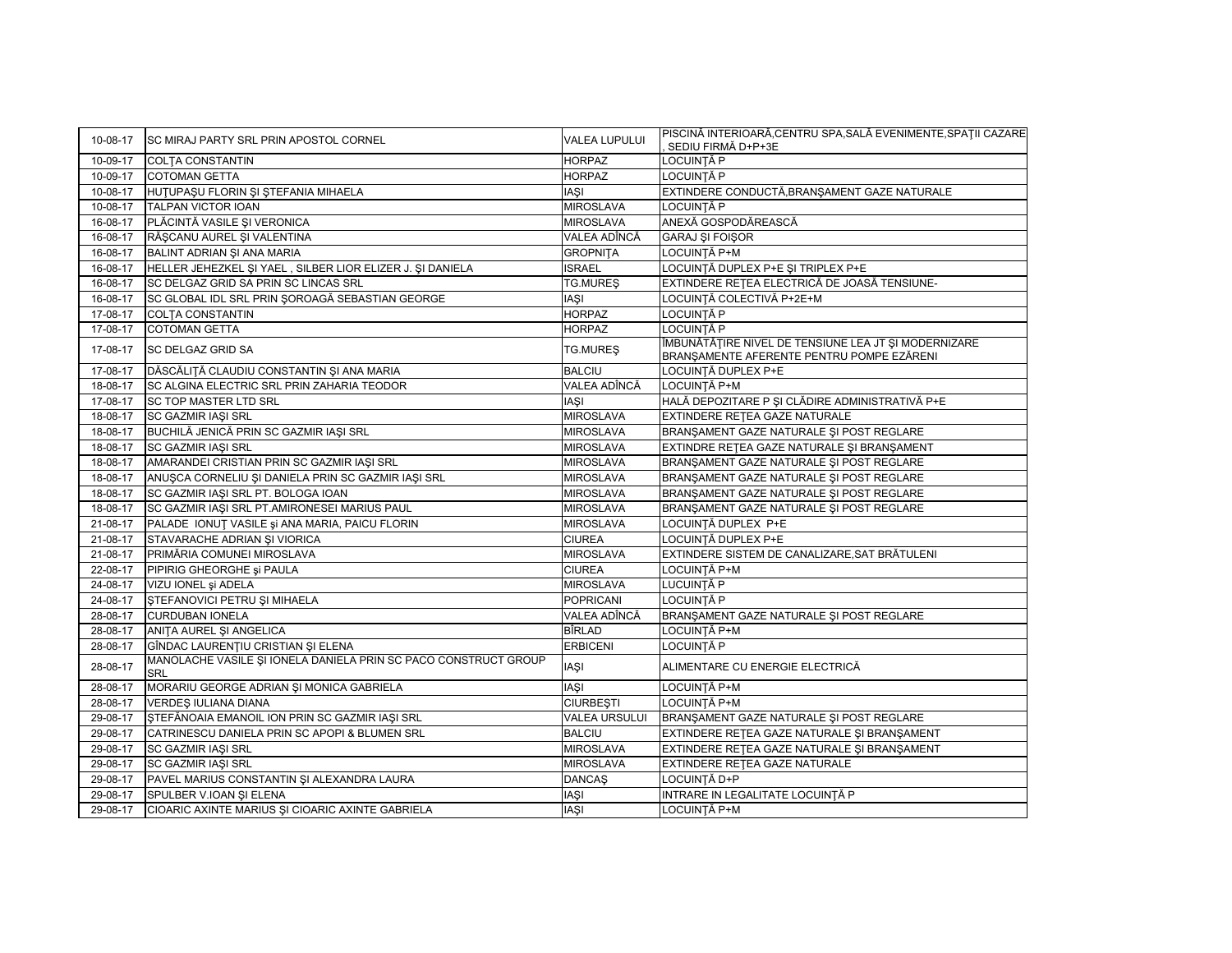| 10-08-17 | SC MIRAJ PARTY SRL PRIN APOSTOL CORNEL                                        | <b>VALEA LUPULUI</b> | PISCINĂ INTERIOARĂ, CENTRU SPA, SALĂ EVENIMENTE, SPAȚII CAZARE<br>SEDIU FIRMĂ D+P+3E              |
|----------|-------------------------------------------------------------------------------|----------------------|---------------------------------------------------------------------------------------------------|
| 10-09-17 | <b>COLTA CONSTANTIN</b>                                                       | <b>HORPAZ</b>        | LOCUINTĂ P                                                                                        |
| 10-09-17 | <b>COTOMAN GETTA</b>                                                          | <b>HORPAZ</b>        | LOCUINTĂ P                                                                                        |
| 10-08-17 | HUTUPAȘU FLORIN ȘI ȘTEFANIA MIHAELA                                           | <b>IASI</b>          | EXTINDERE CONDUCTĂ, BRANȘAMENT GAZE NATURALE                                                      |
| 10-08-17 | <b>TALPAN VICTOR IOAN</b>                                                     | <b>MIROSLAVA</b>     | <b>LOCUINTĂ P</b>                                                                                 |
| 16-08-17 | PLĂCINTĂ VASILE ȘI VERONICA                                                   | <b>MIROSLAVA</b>     | ANEXĂ GOSPODĂREASCĂ                                                                               |
| 16-08-17 | RĂȘCANU AUREL ȘI VALENTINA                                                    | VALEA ADÎNCĂ         | <b>GARAJ ȘI FOIȘOR</b>                                                                            |
| 16-08-17 | BALINT ADRIAN ȘI ANA MARIA                                                    | <b>GROPNITA</b>      | LOCUINTĂ P+M                                                                                      |
| 16-08-17 | HELLER JEHEZKEL ȘI YAEL, SILBER LIOR ELIZER J. ȘI DANIELA                     | <b>ISRAEL</b>        | LOCUINȚĂ DUPLEX P+E ȘI TRIPLEX P+E                                                                |
| 16-08-17 | SC DELGAZ GRID SA PRIN SC LINCAS SRL                                          | TG.MUREŞ             | EXTINDERE REȚEA ELECTRICĂ DE JOASĂ TENSIUNE-                                                      |
| 16-08-17 | SC GLOBAL IDL SRL PRIN ŞOROAGĂ SEBASTIAN GEORGE                               | <b>IASI</b>          | LOCUINȚĂ COLECTIVĂ P+2E+M                                                                         |
| 17-08-17 | <b>COLTA CONSTANTIN</b>                                                       | <b>HORPAZ</b>        | LOCUINTĂ P                                                                                        |
| 17-08-17 | <b>COTOMAN GETTA</b>                                                          | <b>HORPAZ</b>        | LOCUINTĂ P                                                                                        |
| 17-08-17 | <b>SC DELGAZ GRID SA</b>                                                      | TG.MUREŞ             | ÎMBUNĂTĂȚIRE NIVEL DE TENSIUNE LEA JT ȘI MODERNIZARE<br>BRANȘAMENTE AFERENTE PENTRU POMPE EZĂRENI |
| 17-08-17 | DĂSCĂLIȚĂ CLAUDIU CONSTANTIN ȘI ANA MARIA                                     | <b>BALCIU</b>        | LOCUINȚĂ DUPLEX P+E                                                                               |
| 18-08-17 | SC ALGINA ELECTRIC SRL PRIN ZAHARIA TEODOR                                    | VALEA ADÎNCĂ         | LOCUINȚĂ P+M                                                                                      |
| 17-08-17 | <b>SC TOP MASTER LTD SRL</b>                                                  | <b>IASI</b>          | HALĂ DEPOZITARE P ȘI CLĂDIRE ADMINISTRATIVĂ P+E                                                   |
| 18-08-17 | <b>SC GAZMIR IAŞI SRL</b>                                                     | <b>MIROSLAVA</b>     | EXTINDERE RETEA GAZE NATURALE                                                                     |
| 18-08-17 | BUCHILĂ JENICĂ PRIN SC GAZMIR IAȘI SRL                                        | <b>MIROSLAVA</b>     | BRANŞAMENT GAZE NATURALE ŞI POST REGLARE                                                          |
| 18-08-17 | <b>SC GAZMIR IASI SRL</b>                                                     | <b>MIROSLAVA</b>     | EXTINDRE RETEA GAZE NATURALE ȘI BRANȘAMENT                                                        |
| 18-08-17 | AMARANDEI CRISTIAN PRIN SC GAZMIR IAȘI SRL                                    | <b>MIROSLAVA</b>     | BRANŞAMENT GAZE NATURALE ŞI POST REGLARE                                                          |
| 18-08-17 | ANUŞCA CORNELIU ŞI DANIELA PRIN SC GAZMIR IAŞI SRL                            | <b>MIROSLAVA</b>     | BRANŞAMENT GAZE NATURALE ŞI POST REGLARE                                                          |
| 18-08-17 | <b>SC GAZMIR IASI SRL PT. BOLOGA IOAN</b>                                     | <b>MIROSLAVA</b>     | BRANŞAMENT GAZE NATURALE ŞI POST REGLARE                                                          |
| 18-08-17 | SC GAZMIR IAȘI SRL PT.AMIRONESEI MARIUS PAUL                                  | <b>MIROSLAVA</b>     | BRANŞAMENT GAZE NATURALE ŞI POST REGLARE                                                          |
| 21-08-17 | PALADE IONUȚ VASILE și ANA MARIA, PAICU FLORIN                                | <b>MIROSLAVA</b>     | LOCUINȚĂ DUPLEX P+E                                                                               |
| 21-08-17 | <b>STAVARACHE ADRIAN SI VIORICA</b>                                           | <b>CIUREA</b>        | LOCUINTĂ DUPLEX P+E                                                                               |
| 21-08-17 | PRIMĂRIA COMUNEI MIROSLAVA                                                    | <b>MIROSLAVA</b>     | EXTINDERE SISTEM DE CANALIZARE, SAT BRĂTULENI                                                     |
| 22-08-17 | PIPIRIG GHEORGHE și PAULA                                                     | <b>CIUREA</b>        | LOCUINȚĂ P+M                                                                                      |
| 24-08-17 | VIZU IONEL și ADELA                                                           | <b>MIROSLAVA</b>     | LUCUINTĂ P                                                                                        |
| 24-08-17 | STEFANOVICI PETRU SI MIHAELA                                                  | <b>POPRICANI</b>     | LOCUINTĂ P                                                                                        |
| 28-08-17 | <b>CURDUBAN IONELA</b>                                                        | VALEA ADÎNCĂ         | BRANŞAMENT GAZE NATURALE ŞI POST REGLARE                                                          |
| 28-08-17 | ANITA AUREL SI ANGELICA                                                       | <b>BÎRLAD</b>        | LOCUINTĂ P+M                                                                                      |
| 28-08-17 | GÎNDAC LAURENȚIU CRISTIAN ȘI ELENA                                            | <b>ERBICENI</b>      | LOCUINTĂ P                                                                                        |
| 28-08-17 | MANOLACHE VASILE ȘI IONELA DANIELA PRIN SC PACO CONSTRUCT GROUP<br><b>SRL</b> | <b>IAŞI</b>          | ALIMENTARE CU ENERGIE ELECTRICĂ                                                                   |
| 28-08-17 | MORARIU GEORGE ADRIAN ȘI MONICA GABRIELA                                      | <b>IASI</b>          | LOCUINTĂ P+M                                                                                      |
| 28-08-17 | VERDES IULIANA DIANA                                                          | <b>CIURBEȘTI</b>     | LOCUINTĂ P+M                                                                                      |
| 29-08-17 | STEFĂNOAIA EMANOIL ION PRIN SC GAZMIR IAȘI SRL                                | VALEA URSULUI        | BRANŞAMENT GAZE NATURALE ŞI POST REGLARE                                                          |
| 29-08-17 | CATRINESCU DANIELA PRIN SC APOPI & BLUMEN SRL                                 | <b>BALCIU</b>        | EXTINDERE RETEA GAZE NATURALE ȘI BRANȘAMENT                                                       |
| 29-08-17 | <b>SC GAZMIR IAŞI SRL</b>                                                     | <b>MIROSLAVA</b>     | EXTINDERE RETEA GAZE NATURALE ȘI BRANȘAMENT                                                       |
| 29-08-17 | <b>SC GAZMIR IAŞI SRL</b>                                                     | <b>MIROSLAVA</b>     | EXTINDERE RETEA GAZE NATURALE                                                                     |
| 29-08-17 | PAVEL MARIUS CONSTANTIN ȘI ALEXANDRA LAURA                                    | <b>DANCAS</b>        | LOCUINTĂ D+P                                                                                      |
| 29-08-17 | SPULBER V.IOAN ȘI ELENA                                                       | IAŞI                 | INTRARE IN LEGALITATE LOCUINȚĂ P                                                                  |
| 29-08-17 | CIOARIC AXINTE MARIUS ȘI CIOARIC AXINTE GABRIELA                              | <b>IASI</b>          | LOCUINȚĂ P+M                                                                                      |